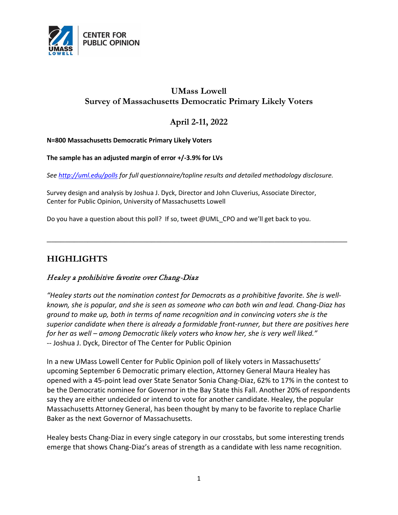

# **UMass Lowell Survey of Massachusetts Democratic Primary Likely Voters**

## **April 2-11, 2022**

#### **N=800 Massachusetts Democratic Primary Likely Voters**

#### **The sample has an adjusted margin of error +/-3.9% for LVs**

*See<http://uml.edu/polls> for full questionnaire/topline results and detailed methodology disclosure.*

Survey design and analysis by Joshua J. Dyck, Director and John Cluverius, Associate Director, Center for Public Opinion, University of Massachusetts Lowell

Do you have a question about this poll? If so, tweet @UML\_CPO and we'll get back to you.

## **HIGHLIGHTS**

### Healey a prohibitive favorite over Chang-Diaz

*"Healey starts out the nomination contest for Democrats as a prohibitive favorite. She is wellknown, she is popular, and she is seen as someone who can both win and lead. Chang-Diaz has ground to make up, both in terms of name recognition and in convincing voters she is the superior candidate when there is already a formidable front-runner, but there are positives here for her as well – among Democratic likely voters who know her, she is very well liked."*  -- Joshua J. Dyck, Director of The Center for Public Opinion

**\_\_\_\_\_\_\_\_\_\_\_\_\_\_\_\_\_\_\_\_\_\_\_\_\_\_\_\_\_\_\_\_\_\_\_\_\_\_\_\_\_\_\_\_\_\_\_\_\_\_\_\_\_\_\_\_\_\_\_\_\_\_\_\_\_\_**

In a new UMass Lowell Center for Public Opinion poll of likely voters in Massachusetts' upcoming September 6 Democratic primary election, Attorney General Maura Healey has opened with a 45-point lead over State Senator Sonia Chang-Diaz, 62% to 17% in the contest to be the Democratic nominee for Governor in the Bay State this Fall. Another 20% of respondents say they are either undecided or intend to vote for another candidate. Healey, the popular Massachusetts Attorney General, has been thought by many to be favorite to replace Charlie Baker as the next Governor of Massachusetts.

Healey bests Chang-Diaz in every single category in our crosstabs, but some interesting trends emerge that shows Chang-Diaz's areas of strength as a candidate with less name recognition.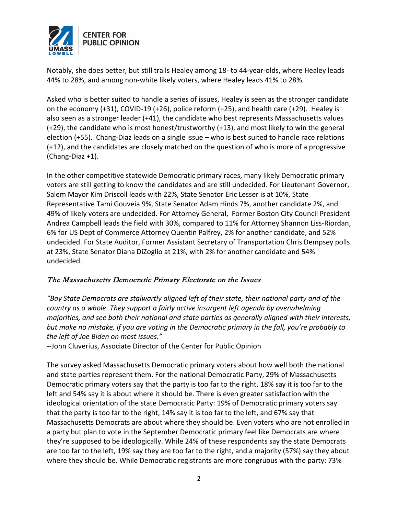

Notably, she does better, but still trails Healey among 18- to 44-year-olds, where Healey leads 44% to 28%, and among non-white likely voters, where Healey leads 41% to 28%.

Asked who is better suited to handle a series of issues, Healey is seen as the stronger candidate on the economy (+31), COVID-19 (+26), police reform (+25), and health care (+29). Healey is also seen as a stronger leader (+41), the candidate who best represents Massachusetts values (+29), the candidate who is most honest/trustworthy (+13), and most likely to win the general election (+55). Chang-Diaz leads on a single issue – who is best suited to handle race relations (+12), and the candidates are closely matched on the question of who is more of a progressive (Chang-Diaz +1).

In the other competitive statewide Democratic primary races, many likely Democratic primary voters are still getting to know the candidates and are still undecided. For Lieutenant Governor, Salem Mayor Kim Driscoll leads with 22%, State Senator Eric Lesser is at 10%, State Representative Tami Gouveia 9%, State Senator Adam Hinds 7%, another candidate 2%, and 49% of likely voters are undecided. For Attorney General, Former Boston City Council President Andrea Campbell leads the field with 30%, compared to 11% for Attorney Shannon Liss-Riordan, 6% for US Dept of Commerce Attorney Quentin Palfrey, 2% for another candidate, and 52% undecided. For State Auditor, Former Assistant Secretary of Transportation Chris Dempsey polls at 23%, State Senator Diana DiZoglio at 21%, with 2% for another candidate and 54% undecided.

### The Massachusetts Democratic Primary Electorate on the Issues

*"Bay State Democrats are stalwartly aligned left of their state, their national party and of the country as a whole. They support a fairly active insurgent left agenda by overwhelming majorities, and see both their national and state parties as generally aligned with their interests, but make no mistake, if you are voting in the Democratic primary in the fall, you're probably to the left of Joe Biden on most issues."*

--John Cluverius, Associate Director of the Center for Public Opinion

The survey asked Massachusetts Democratic primary voters about how well both the national and state parties represent them. For the national Democratic Party, 29% of Massachusetts Democratic primary voters say that the party is too far to the right, 18% say it is too far to the left and 54% say it is about where it should be. There is even greater satisfaction with the ideological orientation of the state Democratic Party: 19% of Democratic primary voters say that the party is too far to the right, 14% say it is too far to the left, and 67% say that Massachusetts Democrats are about where they should be. Even voters who are not enrolled in a party but plan to vote in the September Democratic primary feel like Democrats are where they're supposed to be ideologically. While 24% of these respondents say the state Democrats are too far to the left, 19% say they are too far to the right, and a majority (57%) say they about where they should be. While Democratic registrants are more congruous with the party: 73%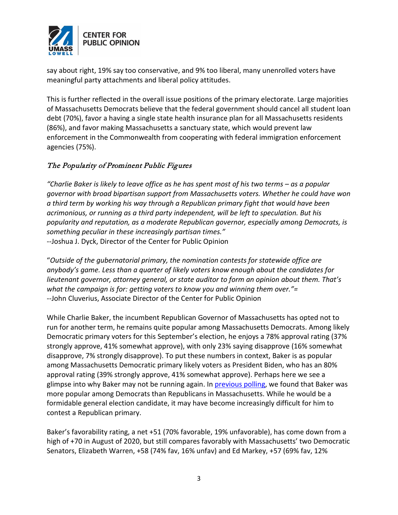

say about right, 19% say too conservative, and 9% too liberal, many unenrolled voters have meaningful party attachments and liberal policy attitudes.

This is further reflected in the overall issue positions of the primary electorate. Large majorities of Massachusetts Democrats believe that the federal government should cancel all student loan debt (70%), favor a having a single state health insurance plan for all Massachusetts residents (86%), and favor making Massachusetts a sanctuary state, which would prevent law enforcement in the Commonwealth from cooperating with federal immigration enforcement agencies (75%).

### The Popularity of Prominent Public Figures

*"Charlie Baker is likely to leave office as he has spent most of his two terms – as a popular governor with broad bipartisan support from Massachusetts voters. Whether he could have won a third term by working his way through a Republican primary fight that would have been acrimonious, or running as a third party independent, will be left to speculation. But his popularity and reputation, as a moderate Republican governor, especially among Democrats, is something peculiar in these increasingly partisan times."*  --Joshua J. Dyck, Director of the Center for Public Opinion

"*Outside of the gubernatorial primary, the nomination contests for statewide office are anybody's game. Less than a quarter of likely voters know enough about the candidates for lieutenant governor, attorney general, or state auditor to form an opinion about them. That's what the campaign is for: getting voters to know you and winning them over."=* --John Cluverius, Associate Director of the Center for Public Opinion

While Charlie Baker, the incumbent Republican Governor of Massachusetts has opted not to run for another term, he remains quite popular among Massachusetts Democrats. Among likely Democratic primary voters for this September's election, he enjoys a 78% approval rating (37% strongly approve, 41% somewhat approve), with only 23% saying disapprove (16% somewhat disapprove, 7% strongly disapprove). To put these numbers in context, Baker is as popular among Massachusetts Democratic primary likely voters as President Biden, who has an 80% approval rating (39% strongly approve, 41% somewhat approve). Perhaps here we see a glimpse into why Baker may not be running again. In **previous polling**, we found that Baker was more popular among Democrats than Republicans in Massachusetts. While he would be a formidable general election candidate, it may have become increasingly difficult for him to contest a Republican primary.

Baker's favorability rating, a net +51 (70% favorable, 19% unfavorable), has come down from a high of +70 in August of 2020, but still compares favorably with Massachusetts' two Democratic Senators, Elizabeth Warren, +58 (74% fav, 16% unfav) and Ed Markey, +57 (69% fav, 12%